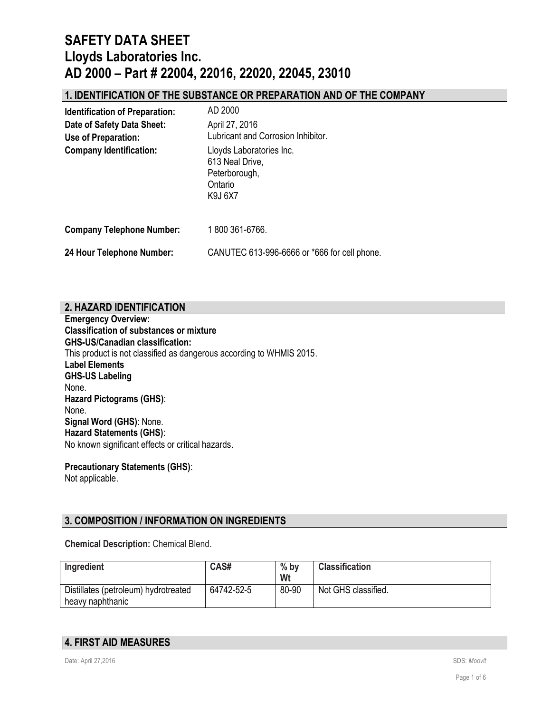### **1. IDENTIFICATION OF THE SUBSTANCE OR PREPARATION AND OF THE COMPANY**

| <b>Identification of Preparation:</b>             | AD 2000                                                                            |
|---------------------------------------------------|------------------------------------------------------------------------------------|
| Date of Safety Data Sheet:<br>Use of Preparation: | April 27, 2016<br>Lubricant and Corrosion Inhibitor.                               |
| <b>Company Identification:</b>                    | Lloyds Laboratories Inc.<br>613 Neal Drive,<br>Peterborough,<br>Ontario<br>K9J 6X7 |
| <b>Company Telephone Number:</b>                  | 1800 361-6766.                                                                     |
| 24 Hour Telephone Number:                         | CANUTEC 613-996-6666 or *666 for cell phone.                                       |

### **2. HAZARD IDENTIFICATION**

**Emergency Overview: Classification of substances or mixture GHS-US/Canadian classification:** This product is not classified as dangerous according to WHMIS 2015. **Label Elements GHS-US Labeling** None. **Hazard Pictograms (GHS)**: None. **Signal Word (GHS)**: None. **Hazard Statements (GHS)**: No known significant effects or critical hazards.

**Precautionary Statements (GHS)**: Not applicable.

### **3. COMPOSITION / INFORMATION ON INGREDIENTS**

**Chemical Description:** Chemical Blend.

| Ingredient                                               | CAS#       | $%$ by<br>Wt | <b>Classification</b> |
|----------------------------------------------------------|------------|--------------|-----------------------|
| Distillates (petroleum) hydrotreated<br>heavy naphthanic | 64742-52-5 | 80-90        | Not GHS classified.   |

## **4. FIRST AID MEASURES**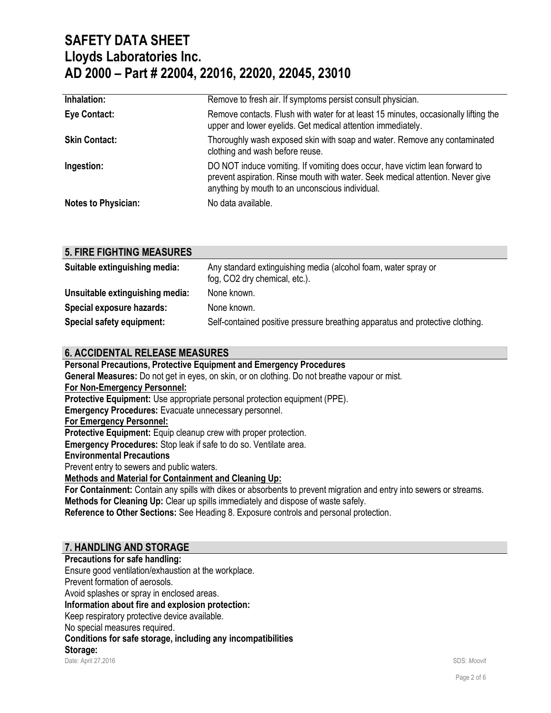| Inhalation:                | Remove to fresh air. If symptoms persist consult physician.                                                                                                                                                      |
|----------------------------|------------------------------------------------------------------------------------------------------------------------------------------------------------------------------------------------------------------|
| <b>Eye Contact:</b>        | Remove contacts. Flush with water for at least 15 minutes, occasionally lifting the<br>upper and lower eyelids. Get medical attention immediately.                                                               |
| <b>Skin Contact:</b>       | Thoroughly wash exposed skin with soap and water. Remove any contaminated<br>clothing and wash before reuse.                                                                                                     |
| Ingestion:                 | DO NOT induce vomiting. If vomiting does occur, have victim lean forward to<br>prevent aspiration. Rinse mouth with water. Seek medical attention. Never give<br>anything by mouth to an unconscious individual. |
| <b>Notes to Physician:</b> | No data available.                                                                                                                                                                                               |

| <b>5. FIRE FIGHTING MEASURES</b> |                  |
|----------------------------------|------------------|
| Suitahla aytinguiching madia:    | Any standard avt |

| Suitable extinguishing media:   | Any standard extinguishing media (alcohol foam, water spray or<br>fog, CO2 dry chemical, etc.). |
|---------------------------------|-------------------------------------------------------------------------------------------------|
| Unsuitable extinguishing media: | None known.                                                                                     |
| Special exposure hazards:       | None known.                                                                                     |
| Special safety equipment:       | Self-contained positive pressure breathing apparatus and protective clothing.                   |

## **6. ACCIDENTAL RELEASE MEASURES**

**Personal Precautions, Protective Equipment and Emergency Procedures General Measures:** Do not get in eyes, on skin, or on clothing. Do not breathe vapour or mist. **For Non-Emergency Personnel: Protective Equipment:** Use appropriate personal protection equipment (PPE). **Emergency Procedures:** Evacuate unnecessary personnel. **For Emergency Personnel: Protective Equipment:** Equip cleanup crew with proper protection. **Emergency Procedures:** Stop leak if safe to do so. Ventilate area. **Environmental Precautions** Prevent entry to sewers and public waters. **Methods and Material for Containment and Cleaning Up: For Containment:** Contain any spills with dikes or absorbents to prevent migration and entry into sewers or streams. **Methods for Cleaning Up:** Clear up spills immediately and dispose of waste safely. **Reference to Other Sections:** See Heading 8. Exposure controls and personal protection.

## **7. HANDLING AND STORAGE**

Date: April 27,2016 SDS: *Moovit* **Precautions for safe handling:** Ensure good ventilation/exhaustion at the workplace. Prevent formation of aerosols. Avoid splashes or spray in enclosed areas. **Information about fire and explosion protection:** Keep respiratory protective device available. No special measures required. **Conditions for safe storage, including any incompatibilities Storage:**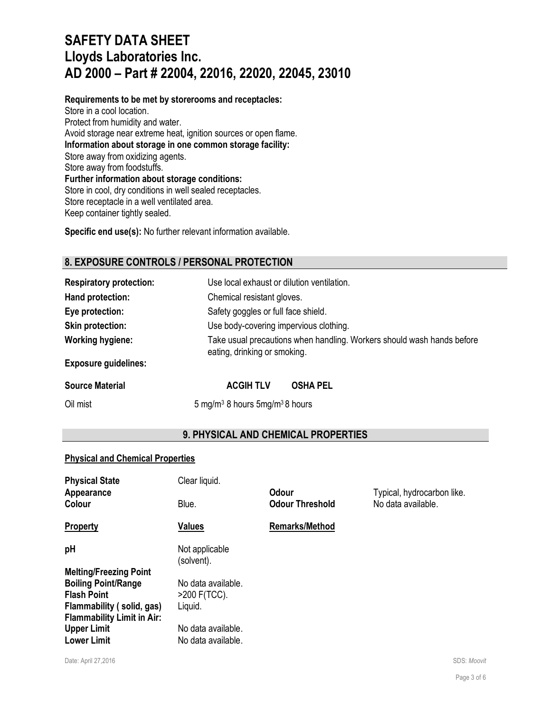**Requirements to be met by storerooms and receptacles:** Store in a cool location. Protect from humidity and water. Avoid storage near extreme heat, ignition sources or open flame. **Information about storage in one common storage facility:** Store away from oxidizing agents. Store away from foodstuffs. **Further information about storage conditions:** Store in cool, dry conditions in well sealed receptacles. Store receptacle in a well ventilated area. Keep container tightly sealed.

**Specific end use(s):** No further relevant information available.

## **8. EXPOSURE CONTROLS / PERSONAL PROTECTION**

| <b>Respiratory protection:</b> | Use local exhaust or dilution ventilation.                                                             |
|--------------------------------|--------------------------------------------------------------------------------------------------------|
| Hand protection:               | Chemical resistant gloves.                                                                             |
| Eye protection:                | Safety goggles or full face shield.                                                                    |
| <b>Skin protection:</b>        | Use body-covering impervious clothing.                                                                 |
| <b>Working hygiene:</b>        | Take usual precautions when handling. Workers should wash hands before<br>eating, drinking or smoking. |
| <b>Exposure guidelines:</b>    |                                                                                                        |

**Source Material COVID-COVID-COVID-MACGIH TLV COSHA PEL** 

Oil mist 6 mg/m<sup>3</sup> 8 hours 5 mg/m<sup>3</sup> 8 hours 5 mg/m<sup>3</sup> 8 hours

## **9. PHYSICAL AND CHEMICAL PROPERTIES**

#### **Physical and Chemical Properties**

| <b>Physical State</b>             | Clear liquid.                |                        |                            |
|-----------------------------------|------------------------------|------------------------|----------------------------|
| Appearance                        |                              | <b>Odour</b>           | Typical, hydrocarbon like. |
| Colour                            | Blue.                        | <b>Odour Threshold</b> | No data available.         |
| Property                          | <b>Values</b>                | <b>Remarks/Method</b>  |                            |
| рH                                | Not applicable<br>(solvent). |                        |                            |
| <b>Melting/Freezing Point</b>     |                              |                        |                            |
| <b>Boiling Point/Range</b>        | No data available.           |                        |                            |
| <b>Flash Point</b>                | $>200$ F(TCC).               |                        |                            |
| Flammability (solid, gas)         | Liquid.                      |                        |                            |
| <b>Flammability Limit in Air:</b> |                              |                        |                            |
| <b>Upper Limit</b>                | No data available.           |                        |                            |
| <b>Lower Limit</b>                | No data available.           |                        |                            |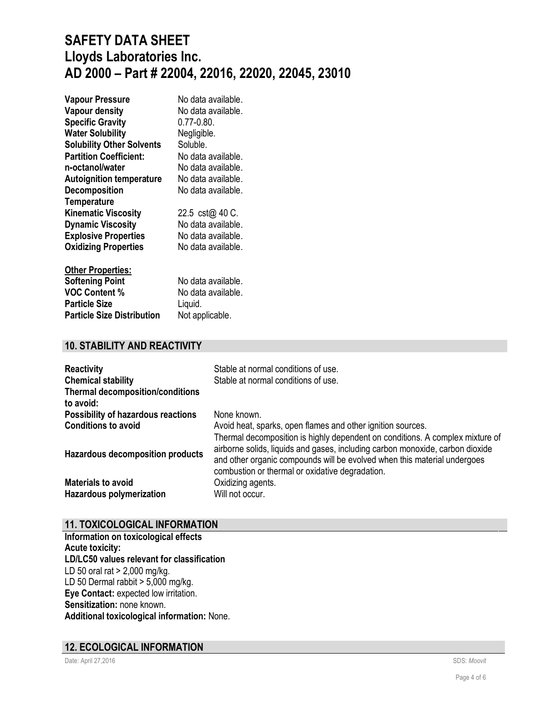| <b>Vapour Pressure</b>           | No data available. |
|----------------------------------|--------------------|
| <b>Vapour density</b>            | No data available. |
| <b>Specific Gravity</b>          | $0.77 - 0.80$ .    |
| <b>Water Solubility</b>          | Negligible.        |
| <b>Solubility Other Solvents</b> | Soluble.           |
| <b>Partition Coefficient:</b>    | No data available. |
| n-octanol/water                  | No data available. |
| <b>Autoignition temperature</b>  | No data available. |
| <b>Decomposition</b>             | No data available. |
| <b>Temperature</b>               |                    |
| <b>Kinematic Viscosity</b>       | 22.5 cst@ 40 C.    |
| <b>Dynamic Viscosity</b>         | No data available. |
| <b>Explosive Properties</b>      | No data available. |
| <b>Oxidizing Properties</b>      | No data available. |
| <b>Other Properties:</b>         |                    |
| <b>Coftoning Doint</b>           | Ala data sveilahla |

| <b>Softening Point</b>            | No data available. |
|-----------------------------------|--------------------|
| <b>VOC Content %</b>              | No data available. |
| <b>Particle Size</b>              | Liguid.            |
| <b>Particle Size Distribution</b> | Not applicable.    |

## **10. STABILITY AND REACTIVITY**

| <b>Reactivity</b>                                    | Stable at normal conditions of use.                                                                                                                                                                                                                                                           |
|------------------------------------------------------|-----------------------------------------------------------------------------------------------------------------------------------------------------------------------------------------------------------------------------------------------------------------------------------------------|
| <b>Chemical stability</b>                            | Stable at normal conditions of use.                                                                                                                                                                                                                                                           |
| <b>Thermal decomposition/conditions</b><br>to avoid: |                                                                                                                                                                                                                                                                                               |
| <b>Possibility of hazardous reactions</b>            | None known.                                                                                                                                                                                                                                                                                   |
| <b>Conditions to avoid</b>                           | Avoid heat, sparks, open flames and other ignition sources.                                                                                                                                                                                                                                   |
| <b>Hazardous decomposition products</b>              | Thermal decomposition is highly dependent on conditions. A complex mixture of<br>airborne solids, liquids and gases, including carbon monoxide, carbon dioxide<br>and other organic compounds will be evolved when this material undergoes<br>combustion or thermal or oxidative degradation. |
| <b>Materials to avoid</b>                            | Oxidizing agents.                                                                                                                                                                                                                                                                             |
| <b>Hazardous polymerization</b>                      | Will not occur.                                                                                                                                                                                                                                                                               |

# **11. TOXICOLOGICAL INFORMATION**

**Information on toxicological effects Acute toxicity: LD/LC50 values relevant for classification** LD 50 oral rat > 2,000 mg/kg. LD 50 Dermal rabbit  $> 5,000$  mg/kg. **Eye Contact:** expected low irritation. **Sensitization:** none known. **Additional toxicological information:** None.

### **12. ECOLOGICAL INFORMATION**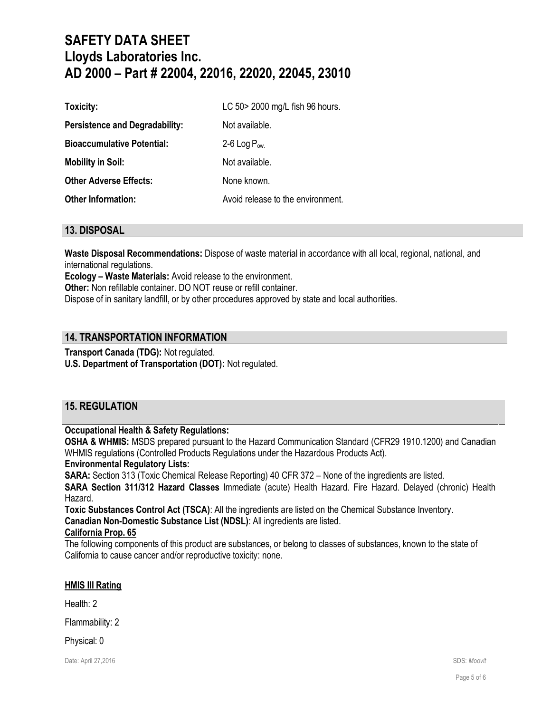| Toxicity:                             | LC 50 > 2000 mg/L fish 96 hours.  |
|---------------------------------------|-----------------------------------|
| <b>Persistence and Degradability:</b> | Not available.                    |
| <b>Bioaccumulative Potential:</b>     | 2-6 Log $P_{ow.}$                 |
| <b>Mobility in Soil:</b>              | Not available.                    |
| <b>Other Adverse Effects:</b>         | None known.                       |
| <b>Other Information:</b>             | Avoid release to the environment. |

#### **13. DISPOSAL**

**Waste Disposal Recommendations:** Dispose of waste material in accordance with all local, regional, national, and international regulations.

**Ecology – Waste Materials:** Avoid release to the environment.

**Other:** Non refillable container. DO NOT reuse or refill container.

Dispose of in sanitary landfill, or by other procedures approved by state and local authorities.

#### **14. TRANSPORTATION INFORMATION**

**Transport Canada (TDG):** Not regulated.

**U.S. Department of Transportation (DOT):** Not regulated.

### **15. REGULATION**

#### **Occupational Health & Safety Regulations:**

**OSHA & WHMIS:** MSDS prepared pursuant to the Hazard Communication Standard (CFR29 1910.1200) and Canadian WHMIS regulations (Controlled Products Regulations under the Hazardous Products Act).

#### **Environmental Regulatory Lists:**

**SARA:** Section 313 (Toxic Chemical Release Reporting) 40 CFR 372 – None of the ingredients are listed.

**SARA Section 311/312 Hazard Classes** Immediate (acute) Health Hazard. Fire Hazard. Delayed (chronic) Health Hazard.

**Toxic Substances Control Act (TSCA)**: All the ingredients are listed on the Chemical Substance Inventory.

**Canadian Non-Domestic Substance List (NDSL)**: All ingredients are listed.

### **California Prop. 65**

The following components of this product are substances, or belong to classes of substances, known to the state of California to cause cancer and/or reproductive toxicity: none.

#### **HMIS III Rating**

Health: 2

Flammability: 2

Physical: 0

Date: April 27,2016 SDS: *Moovit*